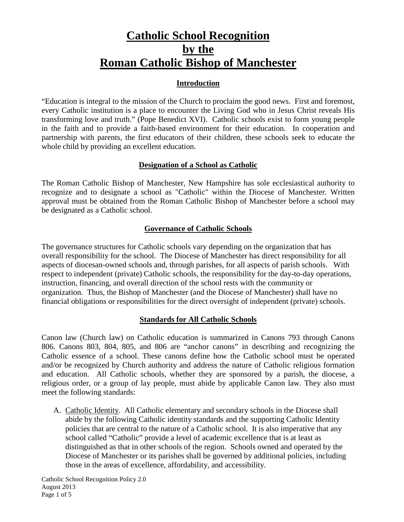# **Catholic School Recognition by the Roman Catholic Bishop of Manchester**

## **Introduction**

"Education is integral to the mission of the Church to proclaim the good news. First and foremost, every Catholic institution is a place to encounter the Living God who in Jesus Christ reveals His transforming love and truth." (Pope Benedict XVI). Catholic schools exist to form young people in the faith and to provide a faith-based environment for their education. In cooperation and partnership with parents, the first educators of their children, these schools seek to educate the whole child by providing an excellent education.

## **Designation of a School as Catholic**

The Roman Catholic Bishop of Manchester, New Hampshire has sole ecclesiastical authority to recognize and to designate a school as "Catholic" within the Diocese of Manchester. Written approval must be obtained from the Roman Catholic Bishop of Manchester before a school may be designated as a Catholic school.

#### **Governance of Catholic Schools**

The governance structures for Catholic schools vary depending on the organization that has overall responsibility for the school. The Diocese of Manchester has direct responsibility for all aspects of diocesan-owned schools and, through parishes, for all aspects of parish schools. With respect to independent (private) Catholic schools, the responsibility for the day-to-day operations, instruction, financing, and overall direction of the school rests with the community or organization. Thus, the Bishop of Manchester (and the Diocese of Manchester) shall have no financial obligations or responsibilities for the direct oversight of independent (private) schools.

#### **Standards for All Catholic Schools**

Canon law (Church law) on Catholic education is summarized in Canons 793 through Canons 806. Canons 803, 804, 805, and 806 are "anchor canons" in describing and recognizing the Catholic essence of a school. These canons define how the Catholic school must be operated and/or be recognized by Church authority and address the nature of Catholic religious formation and education. All Catholic schools, whether they are sponsored by a parish, the diocese, a religious order, or a group of lay people, must abide by applicable Canon law. They also must meet the following standards:

A. Catholic Identity. All Catholic elementary and secondary schools in the Diocese shall abide by the following Catholic identity standards and the supporting Catholic Identity policies that are central to the nature of a Catholic school. It is also imperative that any school called "Catholic" provide a level of academic excellence that is at least as distinguished as that in other schools of the region. Schools owned and operated by the Diocese of Manchester or its parishes shall be governed by additional policies, including those in the areas of excellence, affordability, and accessibility.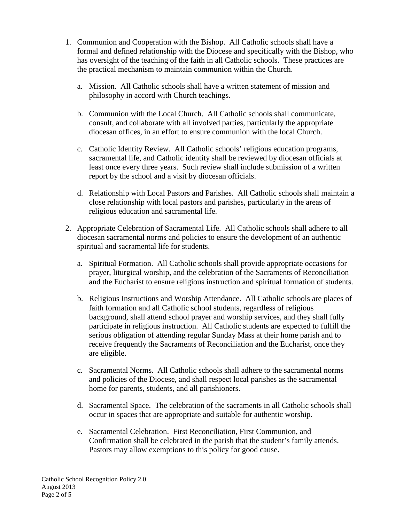- 1. Communion and Cooperation with the Bishop. All Catholic schools shall have a formal and defined relationship with the Diocese and specifically with the Bishop, who has oversight of the teaching of the faith in all Catholic schools. These practices are the practical mechanism to maintain communion within the Church.
	- a. Mission. All Catholic schools shall have a written statement of mission and philosophy in accord with Church teachings.
	- b. Communion with the Local Church. All Catholic schools shall communicate, consult, and collaborate with all involved parties, particularly the appropriate diocesan offices, in an effort to ensure communion with the local Church.
	- c. Catholic Identity Review. All Catholic schools' religious education programs, sacramental life, and Catholic identity shall be reviewed by diocesan officials at least once every three years. Such review shall include submission of a written report by the school and a visit by diocesan officials.
	- d. Relationship with Local Pastors and Parishes. All Catholic schools shall maintain a close relationship with local pastors and parishes, particularly in the areas of religious education and sacramental life.
- 2. Appropriate Celebration of Sacramental Life. All Catholic schools shall adhere to all diocesan sacramental norms and policies to ensure the development of an authentic spiritual and sacramental life for students.
	- a. Spiritual Formation. All Catholic schools shall provide appropriate occasions for prayer, liturgical worship, and the celebration of the Sacraments of Reconciliation and the Eucharist to ensure religious instruction and spiritual formation of students.
	- b. Religious Instructions and Worship Attendance. All Catholic schools are places of faith formation and all Catholic school students, regardless of religious background, shall attend school prayer and worship services, and they shall fully participate in religious instruction. All Catholic students are expected to fulfill the serious obligation of attending regular Sunday Mass at their home parish and to receive frequently the Sacraments of Reconciliation and the Eucharist, once they are eligible.
	- c. Sacramental Norms. All Catholic schools shall adhere to the sacramental norms and policies of the Diocese, and shall respect local parishes as the sacramental home for parents, students, and all parishioners.
	- d. Sacramental Space. The celebration of the sacraments in all Catholic schools shall occur in spaces that are appropriate and suitable for authentic worship.
	- e. Sacramental Celebration. First Reconciliation, First Communion, and Confirmation shall be celebrated in the parish that the student's family attends. Pastors may allow exemptions to this policy for good cause.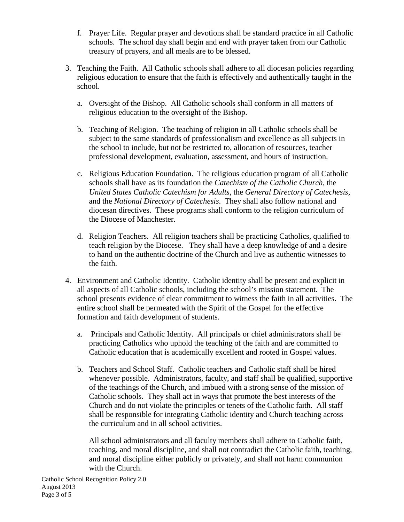- f. Prayer Life. Regular prayer and devotions shall be standard practice in all Catholic schools. The school day shall begin and end with prayer taken from our Catholic treasury of prayers, and all meals are to be blessed.
- 3. Teaching the Faith. All Catholic schools shall adhere to all diocesan policies regarding religious education to ensure that the faith is effectively and authentically taught in the school.
	- a. Oversight of the Bishop. All Catholic schools shall conform in all matters of religious education to the oversight of the Bishop.
	- b. Teaching of Religion. The teaching of religion in all Catholic schools shall be subject to the same standards of professionalism and excellence as all subjects in the school to include, but not be restricted to, allocation of resources, teacher professional development, evaluation, assessment, and hours of instruction.
	- c. Religious Education Foundation. The religious education program of all Catholic schools shall have as its foundation the *Catechism of the Catholic Church,* the *United States Catholic Catechism for Adults*, the *General Directory of Catechesis,* and the *National Directory of Catechesis*. They shall also follow national and diocesan directives. These programs shall conform to the religion curriculum of the Diocese of Manchester.
	- d. Religion Teachers. All religion teachers shall be practicing Catholics, qualified to teach religion by the Diocese. They shall have a deep knowledge of and a desire to hand on the authentic doctrine of the Church and live as authentic witnesses to the faith.
- 4. Environment and Catholic Identity. Catholic identity shall be present and explicit in all aspects of all Catholic schools, including the school's mission statement. The school presents evidence of clear commitment to witness the faith in all activities. The entire school shall be permeated with the Spirit of the Gospel for the effective formation and faith development of students.
	- a. Principals and Catholic Identity. All principals or chief administrators shall be practicing Catholics who uphold the teaching of the faith and are committed to Catholic education that is academically excellent and rooted in Gospel values.
	- b. Teachers and School Staff. Catholic teachers and Catholic staff shall be hired whenever possible. Administrators, faculty, and staff shall be qualified, supportive of the teachings of the Church, and imbued with a strong sense of the mission of Catholic schools. They shall act in ways that promote the best interests of the Church and do not violate the principles or tenets of the Catholic faith. All staff shall be responsible for integrating Catholic identity and Church teaching across the curriculum and in all school activities.

All school administrators and all faculty members shall adhere to Catholic faith, teaching, and moral discipline, and shall not contradict the Catholic faith, teaching, and moral discipline either publicly or privately, and shall not harm communion with the Church.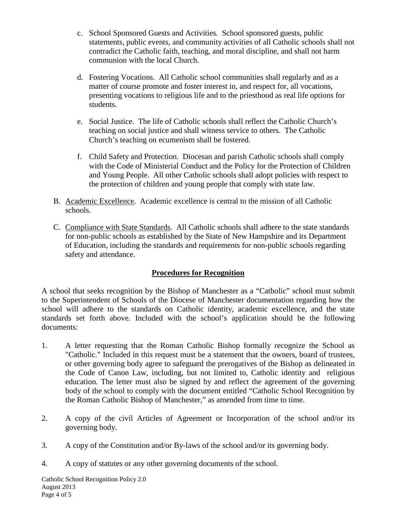- c. School Sponsored Guests and Activities. School sponsored guests, public statements, public events, and community activities of all Catholic schools shall not contradict the Catholic faith, teaching, and moral discipline, and shall not harm communion with the local Church.
- d. Fostering Vocations. All Catholic school communities shall regularly and as a matter of course promote and foster interest in, and respect for, all vocations, presenting vocations to religious life and to the priesthood as real life options for students.
- e. Social Justice. The life of Catholic schools shall reflect the Catholic Church's teaching on social justice and shall witness service to others. The Catholic Church's teaching on ecumenism shall be fostered.
- f. Child Safety and Protection. Diocesan and parish Catholic schools shall comply with the Code of Ministerial Conduct and the Policy for the Protection of Children and Young People. All other Catholic schools shall adopt policies with respect to the protection of children and young people that comply with state law.
- B. Academic Excellence. Academic excellence is central to the mission of all Catholic schools.
- C. Compliance with State Standards. All Catholic schools shall adhere to the state standards for non-public schools as established by the State of New Hampshire and its Department of Education, including the standards and requirements for non-public schools regarding safety and attendance.

# **Procedures for Recognition**

A school that seeks recognition by the Bishop of Manchester as a "Catholic" school must submit to the Superintendent of Schools of the Diocese of Manchester documentation regarding how the school will adhere to the standards on Catholic identity, academic excellence, and the state standards set forth above. Included with the school's application should be the following documents:

- 1. A letter requesting that the Roman Catholic Bishop formally recognize the School as "Catholic." Included in this request must be a statement that the owners, board of trustees, or other governing body agree to safeguard the prerogatives of the Bishop as delineated in the Code of Canon Law, including, but not limited to, Catholic identity and religious education. The letter must also be signed by and reflect the agreement of the governing body of the school to comply with the document entitled "Catholic School Recognition by the Roman Catholic Bishop of Manchester," as amended from time to time.
- 2. A copy of the civil Articles of Agreement or Incorporation of the school and/or its governing body.
- 3. A copy of the Constitution and/or By-laws of the school and/or its governing body.
- 4. A copy of statutes or any other governing documents of the school.